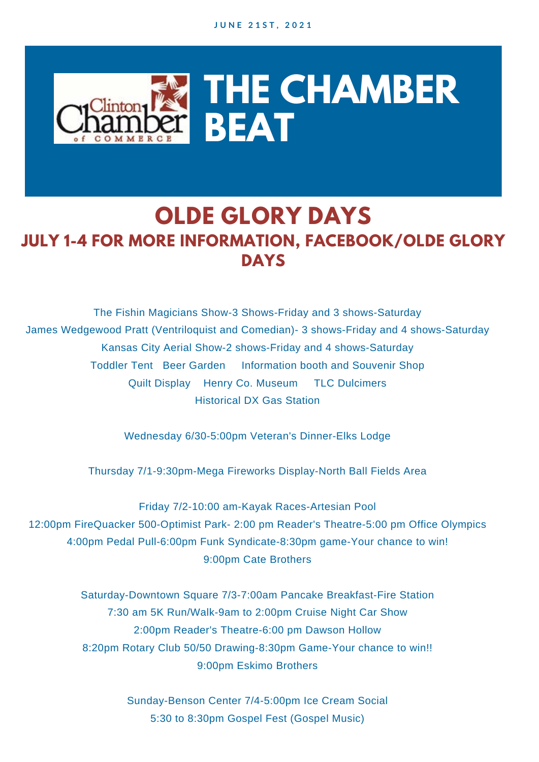

## **OLDE GLORY DAYS JULY 1-4 FOR MORE INFORMATION, FACEBOOK/OLDE GLORY DAYS**

The Fishin Magicians Show-3 Shows-Friday and 3 shows-Saturday James Wedgewood Pratt (Ventriloquist and Comedian)- 3 shows-Friday and 4 shows-Saturday Kansas City Aerial Show-2 shows-Friday and 4 shows-Saturday Toddler Tent Beer Garden Information booth and Souvenir Shop Quilt Display Henry Co. Museum TLC Dulcimers Historical DX Gas Station

Wednesday 6/30-5:00pm Veteran's Dinner-Elks Lodge

Thursday 7/1-9:30pm-Mega Fireworks Display-North Ball Fields Area

Friday 7/2-10:00 am-Kayak Races-Artesian Pool 12:00pm FireQuacker 500-Optimist Park- 2:00 pm Reader's Theatre-5:00 pm Office Olympics 4:00pm Pedal Pull-6:00pm Funk Syndicate-8:30pm game-Your chance to win! 9:00pm Cate Brothers

> Saturday-Downtown Square 7/3-7:00am Pancake Breakfast-Fire Station 7:30 am 5K Run/Walk-9am to 2:00pm Cruise Night Car Show 2:00pm Reader's Theatre-6:00 pm Dawson Hollow 8:20pm Rotary Club 50/50 Drawing-8:30pm Game-Your chance to win!! 9:00pm Eskimo Brothers

> > Sunday-Benson Center 7/4-5:00pm Ice Cream Social 5:30 to 8:30pm Gospel Fest (Gospel Music)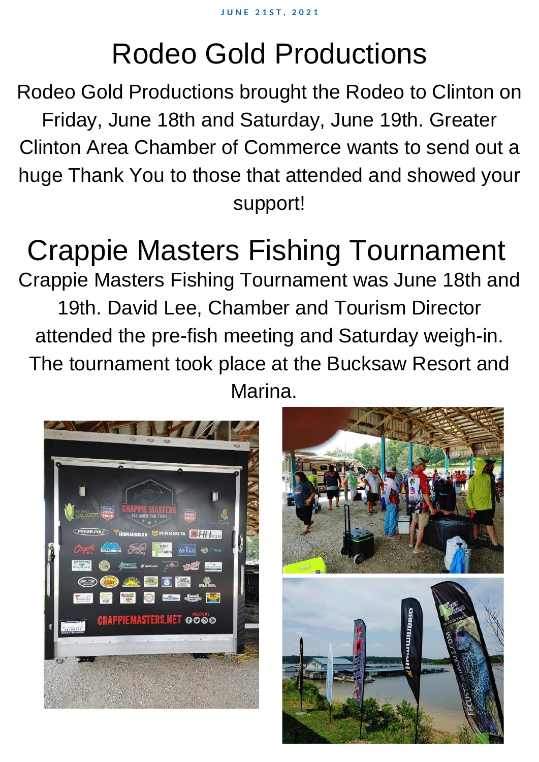# Rodeo Gold Productions

Rodeo Gold Productions brought the Rodeo to Clinton on Friday, June 18th and Saturday, June 19th. Greater Clinton Area Chamber of Commerce wants to send out a huge Thank You to those that attended and showed your support!

# Crappie Masters Fishing Tournament

Crappie Masters Fishing Tournament was June 18th and 19th. David Lee, Chamber and Tourism Director attended the pre-fish meeting and Saturday weigh-in. The tournament took place at the Bucksaw Resort and Marina.



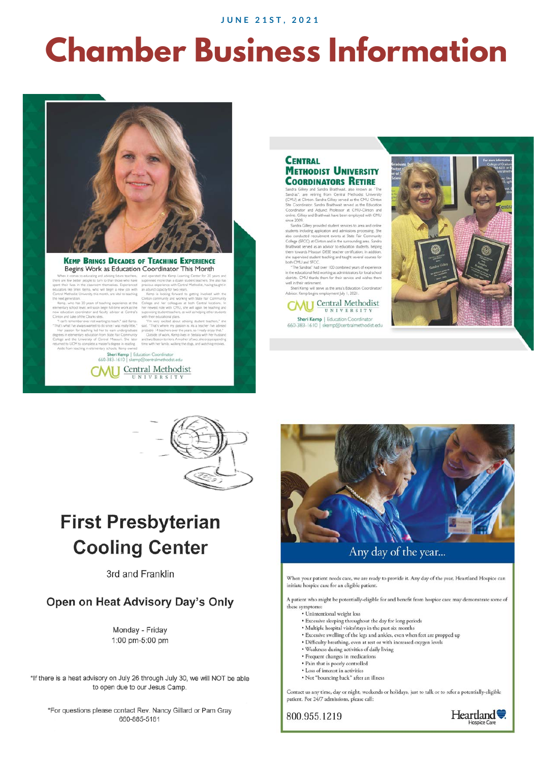**JUNE 21ST, 2021** 

# **Chamber Business Information**



#### **KEMP BRINGS DECADES OF TEACHING EXPERIENCE** Begins Work as Education Coordinator This Month

Clinton c

Sheri Kemp | Education Coordinator<br>660-383-1610 | skemp@centralmethodist.edu **AI I** Central Methodist UNIVERSITY



samura Comery and Samura evaluement, also ensurent as<br>Sandras", are retiring from Central Methodist Univer<br>(CMU) at Clinton. Sandra Gilliey served as the CMU Clint<br>Site Coordinator. Sandra Braithwait served as the Educat Coordinator, aansra tirattrivait served as the Educ<br>infinator, and Adjunct, Professor, at CMU-Clinton<br>te. Gilkey and Braithwait have been employed with ( ed with CMI  $-2009$ 

since 2009.<br>Sandra Gilley provided student services to area and online students including application and admissions processing. She also conducted recurriment events at State Fair Community Brazillands Complete College (

in the educational field working as administrators for local schoo districts. CMU thanks them for their service and wishes the well in their retirement. Sheri Kemp will serve as the area's Education Coordinator,

sor. Kemp begins employment July 1, 2021 **CMU** Central Methodist UNIVERSITY







## **First Presbyterian Cooling Center**

3rd and Franklin

### Open on Heat Advisory Day's Only

Monday - Friday 1:00 pm-5:00 pm

\*If there is a heat advisory on July 26 through July 30, we will NOT be able to open due to our Jesus Camp.

\*For questions please contact Rev. Nancy Gillard or Pam Gray 660-885-5181



Any day of the year...

When your patient needs care, we are ready to provide it. Any day of the year, Heartland Hospice can initiate hospice care for an eligible patient.

A patient who might be potentially-eligible for and benefit from hospice care may demonstrate some of these symptoms:

- · Unintentional weight loss
- Excessive sleeping throughout the day for long periods<br>• Multiple hospital visits/stays in the past six months
- 
- · Excessive swelling of the legs and ankles, even when feet are propped up
- · Difficulty breathing, even at rest or with increased oxygen levels
- · Weakness during activities of daily living
- Frequent changes in medications · Pain that is poorly controlled
- $\bullet$  Loss of interest in activities
- · Not "bouncing back" after an illness

Contact us any time, day or night, weekends or holidays, just to talk or to refer a potentially-eligible patient. For 24/7 admissions, please call:

800.955.1219

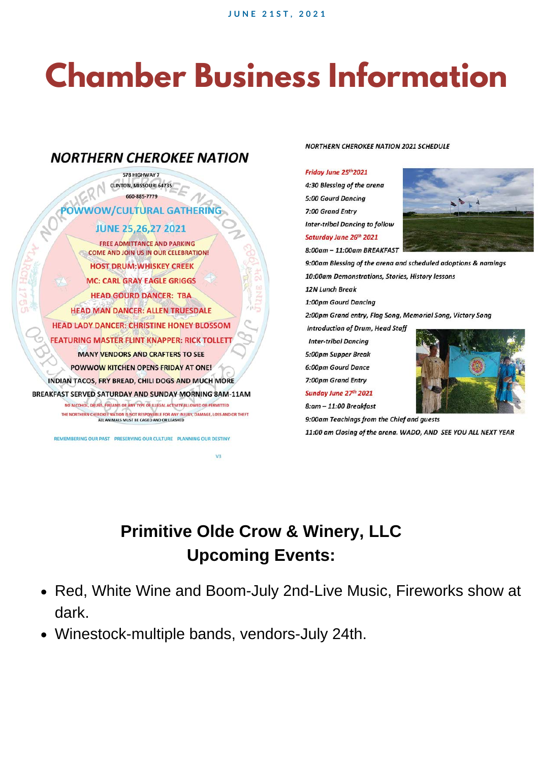# **Chamber Business Information**



### NORTHERN CHEROKEE NATION 2021 SCHEDULE

### Friday June 25th 2021

4:30 Blessing of the arena **5:00 Gourd Dancing** 7:00 Grand Entry **Inter-tribal Dancing to follow** Saturday June 26th 2021

8:00am - 11:00am BREAKFAST



9:00am Blessing of the arena and scheduled adoptions & namings 10:00am Demonstrations, Stories, History lessons 12N Lunch Break 1:00pm Gourd Dancing 2:00pm Grand entry, Flag Song, Memorial Song, Victory Song **Introduction of Drum, Head Staff Inter-tribal Dancing** 5:00pm Supper Break 6:00pm Gourd Dance 7:00pm Grand Entry Sunday June 27th 2021 8:am - 11:00 Breakfast

9:00am Teachings from the Chief and guests

11:00 am Closing of the arena. WADO, AND SEE YOU ALL NEXT YEAR

## **Primitive Olde Crow & Winery, LLC Upcoming Events:**

- Red, White Wine and Boom-July 2nd-Live Music, Fireworks show at dark.
- Winestock-multiple bands, vendors-July 24th.